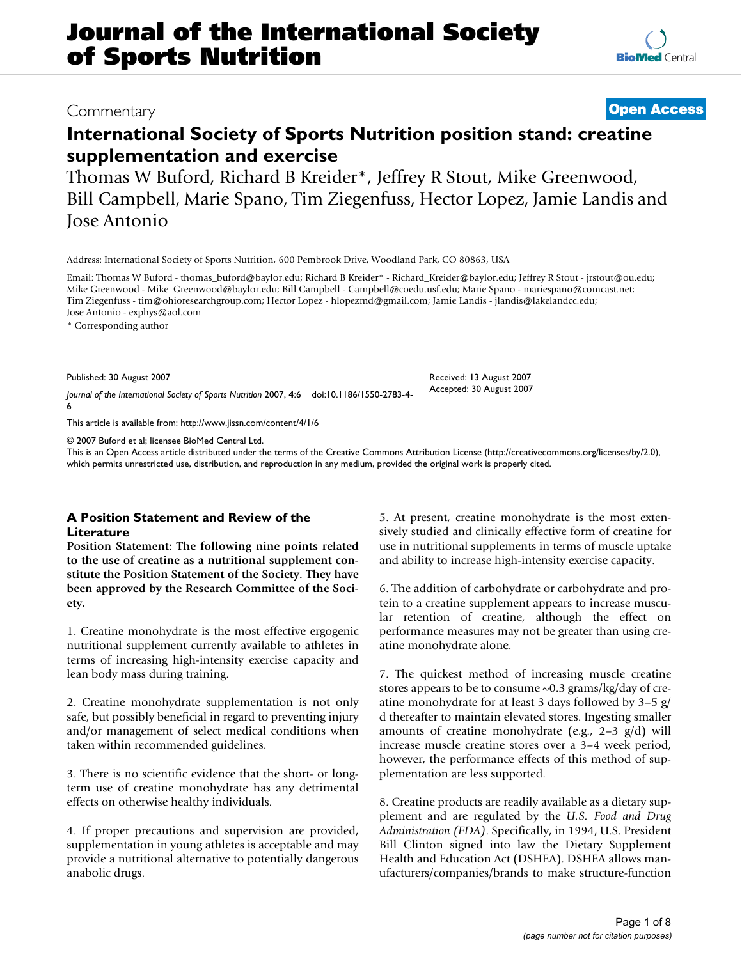# **International Society of Sports Nutrition position stand: creatine supplementation and exercise**

Thomas W Buford, Richard B Kreider\*, Jeffrey R Stout, Mike Greenwood, Bill Campbell, Marie Spano, Tim Ziegenfuss, Hector Lopez, Jamie Landis and Jose Antonio

Address: International Society of Sports Nutrition, 600 Pembrook Drive, Woodland Park, CO 80863, USA

Email: Thomas W Buford - thomas\_buford@baylor.edu; Richard B Kreider\* - Richard\_Kreider@baylor.edu; Jeffrey R Stout - jrstout@ou.edu; Mike Greenwood - Mike\_Greenwood@baylor.edu; Bill Campbell - Campbell@coedu.usf.edu; Marie Spano - mariespano@comcast.net; Tim Ziegenfuss - tim@ohioresearchgroup.com; Hector Lopez - hlopezmd@gmail.com; Jamie Landis - jlandis@lakelandcc.edu; Jose Antonio - exphys@aol.com

\* Corresponding author

Published: 30 August 2007

*Journal of the International Society of Sports Nutrition* 2007, **4**:6 doi:10.1186/1550-2783-4- 6

[This article is available from: http://www.jissn.com/content/4/1/6](http://www.jissn.com/content/4/1/6)

© 2007 Buford et al; licensee BioMed Central Ltd.

This is an Open Access article distributed under the terms of the Creative Commons Attribution License [\(http://creativecommons.org/licenses/by/2.0\)](http://creativecommons.org/licenses/by/2.0), which permits unrestricted use, distribution, and reproduction in any medium, provided the original work is properly cited.

### **A Position Statement and Review of the Literature**

**Position Statement: The following nine points related to the use of creatine as a nutritional supplement constitute the Position Statement of the Society. They have been approved by the Research Committee of the Society.**

1. Creatine monohydrate is the most effective ergogenic nutritional supplement currently available to athletes in terms of increasing high-intensity exercise capacity and lean body mass during training.

2. Creatine monohydrate supplementation is not only safe, but possibly beneficial in regard to preventing injury and/or management of select medical conditions when taken within recommended guidelines.

3. There is no scientific evidence that the short- or longterm use of creatine monohydrate has any detrimental effects on otherwise healthy individuals.

4. If proper precautions and supervision are provided, supplementation in young athletes is acceptable and may provide a nutritional alternative to potentially dangerous anabolic drugs.

5. At present, creatine monohydrate is the most extensively studied and clinically effective form of creatine for use in nutritional supplements in terms of muscle uptake and ability to increase high-intensity exercise capacity.

6. The addition of carbohydrate or carbohydrate and protein to a creatine supplement appears to increase muscular retention of creatine, although the effect on performance measures may not be greater than using creatine monohydrate alone.

7. The quickest method of increasing muscle creatine stores appears to be to consume ~0.3 grams/kg/day of creatine monohydrate for at least 3 days followed by 3–5 g/ d thereafter to maintain elevated stores. Ingesting smaller amounts of creatine monohydrate (e.g., 2–3 g/d) will increase muscle creatine stores over a 3–4 week period, however, the performance effects of this method of supplementation are less supported.

8. Creatine products are readily available as a dietary supplement and are regulated by the *U.S. Food and Drug Administration (FDA)*. Specifically, in 1994, U.S. President Bill Clinton signed into law the Dietary Supplement Health and Education Act (DSHEA). DSHEA allows manufacturers/companies/brands to make structure-function

## Commentary **[Open Access](http://www.biomedcentral.com/info/about/charter/)**

Received: 13 August 2007 Accepted: 30 August 2007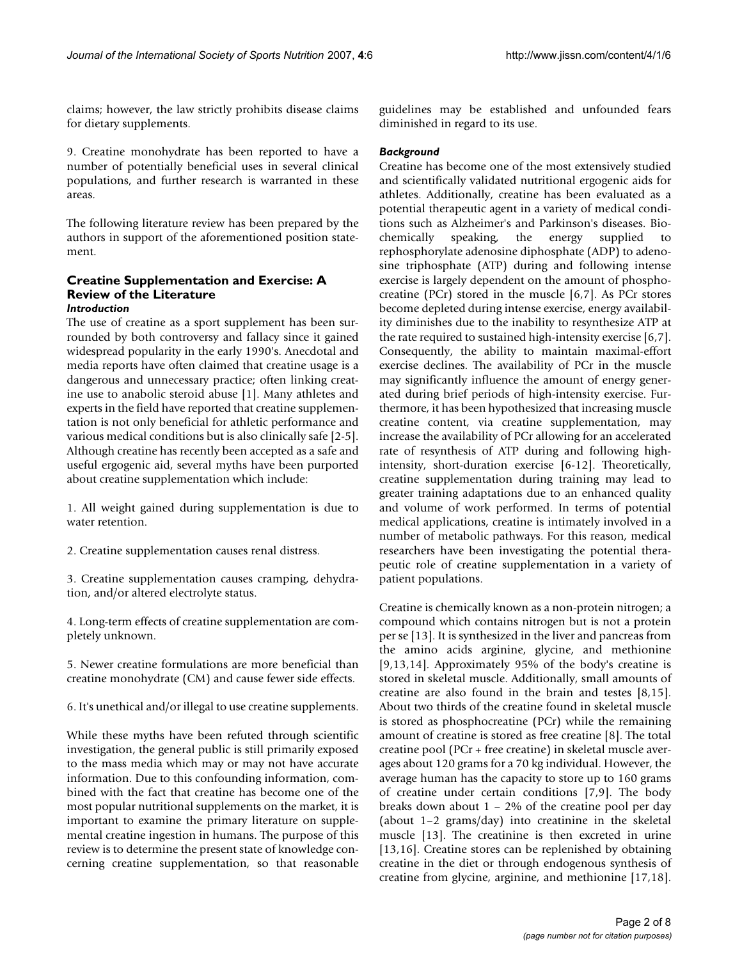claims; however, the law strictly prohibits disease claims for dietary supplements.

9. Creatine monohydrate has been reported to have a number of potentially beneficial uses in several clinical populations, and further research is warranted in these areas.

The following literature review has been prepared by the authors in support of the aforementioned position statement.

#### **Creatine Supplementation and Exercise: A Review of the Literature** *Introduction*

The use of creatine as a sport supplement has been surrounded by both controversy and fallacy since it gained widespread popularity in the early 1990's. Anecdotal and media reports have often claimed that creatine usage is a dangerous and unnecessary practice; often linking creatine use to anabolic steroid abuse [1]. Many athletes and experts in the field have reported that creatine supplementation is not only beneficial for athletic performance and various medical conditions but is also clinically safe [2-5]. Although creatine has recently been accepted as a safe and useful ergogenic aid, several myths have been purported about creatine supplementation which include:

1. All weight gained during supplementation is due to water retention.

2. Creatine supplementation causes renal distress.

3. Creatine supplementation causes cramping, dehydration, and/or altered electrolyte status.

4. Long-term effects of creatine supplementation are completely unknown.

5. Newer creatine formulations are more beneficial than creatine monohydrate (CM) and cause fewer side effects.

6. It's unethical and/or illegal to use creatine supplements.

While these myths have been refuted through scientific investigation, the general public is still primarily exposed to the mass media which may or may not have accurate information. Due to this confounding information, combined with the fact that creatine has become one of the most popular nutritional supplements on the market, it is important to examine the primary literature on supplemental creatine ingestion in humans. The purpose of this review is to determine the present state of knowledge concerning creatine supplementation, so that reasonable guidelines may be established and unfounded fears diminished in regard to its use.

### *Background*

Creatine has become one of the most extensively studied and scientifically validated nutritional ergogenic aids for athletes. Additionally, creatine has been evaluated as a potential therapeutic agent in a variety of medical conditions such as Alzheimer's and Parkinson's diseases. Biochemically speaking, the energy supplied to rephosphorylate adenosine diphosphate (ADP) to adenosine triphosphate (ATP) during and following intense exercise is largely dependent on the amount of phosphocreatine (PCr) stored in the muscle [6,7]. As PCr stores become depleted during intense exercise, energy availability diminishes due to the inability to resynthesize ATP at the rate required to sustained high-intensity exercise [6,7]. Consequently, the ability to maintain maximal-effort exercise declines. The availability of PCr in the muscle may significantly influence the amount of energy generated during brief periods of high-intensity exercise. Furthermore, it has been hypothesized that increasing muscle creatine content, via creatine supplementation, may increase the availability of PCr allowing for an accelerated rate of resynthesis of ATP during and following highintensity, short-duration exercise [6-12]. Theoretically, creatine supplementation during training may lead to greater training adaptations due to an enhanced quality and volume of work performed. In terms of potential medical applications, creatine is intimately involved in a number of metabolic pathways. For this reason, medical researchers have been investigating the potential therapeutic role of creatine supplementation in a variety of patient populations.

Creatine is chemically known as a non-protein nitrogen; a compound which contains nitrogen but is not a protein per se [13]. It is synthesized in the liver and pancreas from the amino acids arginine, glycine, and methionine [9,13,14]. Approximately 95% of the body's creatine is stored in skeletal muscle. Additionally, small amounts of creatine are also found in the brain and testes [8,15]. About two thirds of the creatine found in skeletal muscle is stored as phosphocreatine (PCr) while the remaining amount of creatine is stored as free creatine [8]. The total creatine pool (PCr + free creatine) in skeletal muscle averages about 120 grams for a 70 kg individual. However, the average human has the capacity to store up to 160 grams of creatine under certain conditions [7,9]. The body breaks down about  $1 - 2\%$  of the creatine pool per day (about 1–2 grams/day) into creatinine in the skeletal muscle [13]. The creatinine is then excreted in urine [13,16]. Creatine stores can be replenished by obtaining creatine in the diet or through endogenous synthesis of creatine from glycine, arginine, and methionine [17,18].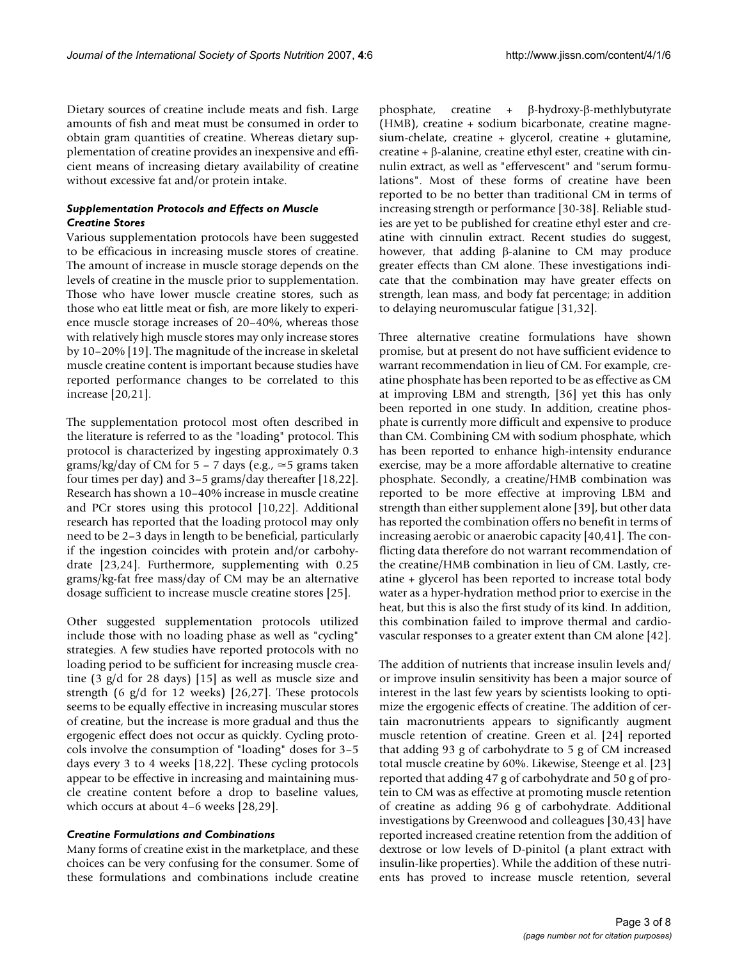Dietary sources of creatine include meats and fish. Large amounts of fish and meat must be consumed in order to obtain gram quantities of creatine. Whereas dietary supplementation of creatine provides an inexpensive and efficient means of increasing dietary availability of creatine without excessive fat and/or protein intake.

#### *Supplementation Protocols and Effects on Muscle Creatine Stores*

Various supplementation protocols have been suggested to be efficacious in increasing muscle stores of creatine. The amount of increase in muscle storage depends on the levels of creatine in the muscle prior to supplementation. Those who have lower muscle creatine stores, such as those who eat little meat or fish, are more likely to experience muscle storage increases of 20–40%, whereas those with relatively high muscle stores may only increase stores by 10–20% [19]. The magnitude of the increase in skeletal muscle creatine content is important because studies have reported performance changes to be correlated to this increase [20,21].

The supplementation protocol most often described in the literature is referred to as the "loading" protocol. This protocol is characterized by ingesting approximately 0.3 grams/kg/day of CM for  $5 - 7$  days (e.g.,  $\simeq 5$  grams taken four times per day) and 3–5 grams/day thereafter [18,22]. Research has shown a 10–40% increase in muscle creatine and PCr stores using this protocol [10,22]. Additional research has reported that the loading protocol may only need to be 2–3 days in length to be beneficial, particularly if the ingestion coincides with protein and/or carbohydrate [23,24]. Furthermore, supplementing with 0.25 grams/kg-fat free mass/day of CM may be an alternative dosage sufficient to increase muscle creatine stores [25].

Other suggested supplementation protocols utilized include those with no loading phase as well as "cycling" strategies. A few studies have reported protocols with no loading period to be sufficient for increasing muscle creatine (3 g/d for 28 days) [15] as well as muscle size and strength (6 g/d for 12 weeks) [26,27]. These protocols seems to be equally effective in increasing muscular stores of creatine, but the increase is more gradual and thus the ergogenic effect does not occur as quickly. Cycling protocols involve the consumption of "loading" doses for 3–5 days every 3 to 4 weeks [18,22]. These cycling protocols appear to be effective in increasing and maintaining muscle creatine content before a drop to baseline values, which occurs at about 4–6 weeks [28,29].

#### *Creatine Formulations and Combinations*

Many forms of creatine exist in the marketplace, and these choices can be very confusing for the consumer. Some of these formulations and combinations include creatine phosphate, creatine + β-hydroxy-β-methlybutyrate (HMB), creatine + sodium bicarbonate, creatine magnesium-chelate, creatine + glycerol, creatine + glutamine, creatine + β-alanine, creatine ethyl ester, creatine with cinnulin extract, as well as "effervescent" and "serum formulations". Most of these forms of creatine have been reported to be no better than traditional CM in terms of increasing strength or performance [30-38]. Reliable studies are yet to be published for creatine ethyl ester and creatine with cinnulin extract. Recent studies do suggest, however, that adding β-alanine to CM may produce greater effects than CM alone. These investigations indicate that the combination may have greater effects on strength, lean mass, and body fat percentage; in addition to delaying neuromuscular fatigue [31[,32](#page-6-0)].

Three alternative creatine formulations have shown promise, but at present do not have sufficient evidence to warrant recommendation in lieu of CM. For example, creatine phosphate has been reported to be as effective as CM at improving LBM and strength, [36] yet this has only been reported in one study. In addition, creatine phosphate is currently more difficult and expensive to produce than CM. Combining CM with sodium phosphate, which has been reported to enhance high-intensity endurance exercise, may be a more affordable alternative to creatine phosphate. Secondly, a creatine/HMB combination was reported to be more effective at improving LBM and strength than either supplement alone [39], but other data has reported the combination offers no benefit in terms of increasing aerobic or anaerobic capacity [\[40](#page-6-1),41]. The conflicting data therefore do not warrant recommendation of the creatine/HMB combination in lieu of CM. Lastly, creatine + glycerol has been reported to increase total body water as a hyper-hydration method prior to exercise in the heat, but this is also the first study of its kind. In addition, this combination failed to improve thermal and cardiovascular responses to a greater extent than CM alone [42].

The addition of nutrients that increase insulin levels and/ or improve insulin sensitivity has been a major source of interest in the last few years by scientists looking to optimize the ergogenic effects of creatine. The addition of certain macronutrients appears to significantly augment muscle retention of creatine. Green et al. [24] reported that adding 93 g of carbohydrate to 5 g of CM increased total muscle creatine by 60%. Likewise, Steenge et al. [23] reported that adding 47 g of carbohydrate and 50 g of protein to CM was as effective at promoting muscle retention of creatine as adding 96 g of carbohydrate. Additional investigations by Greenwood and colleagues [30,43] have reported increased creatine retention from the addition of dextrose or low levels of D-pinitol (a plant extract with insulin-like properties). While the addition of these nutrients has proved to increase muscle retention, several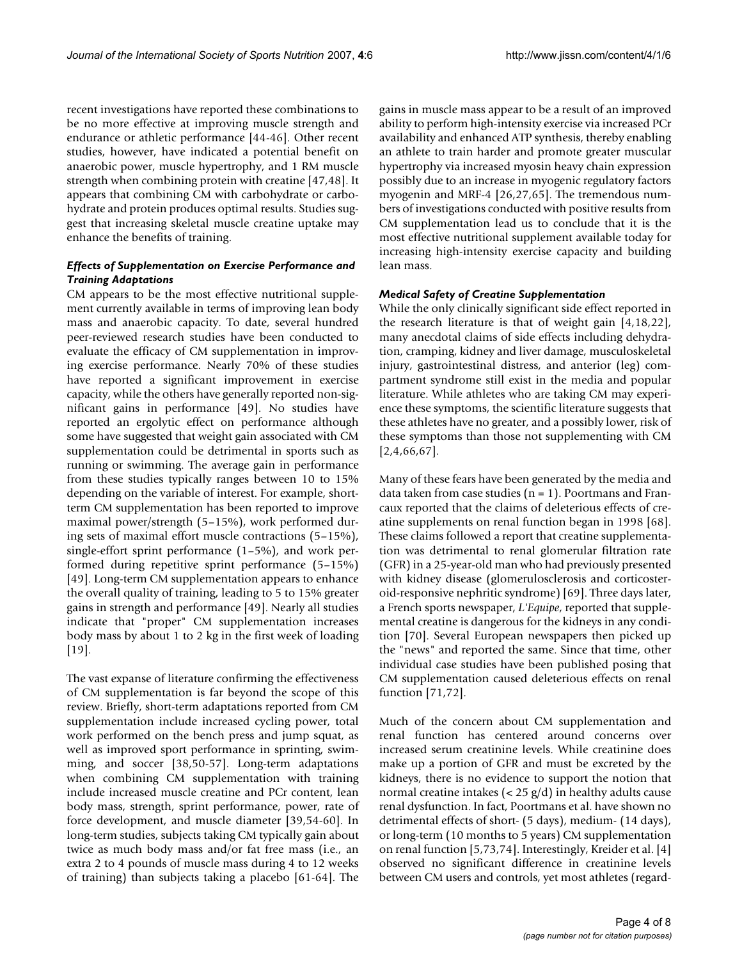recent investigations have reported these combinations to be no more effective at improving muscle strength and endurance or athletic performance [44-46]. Other recent studies, however, have indicated a potential benefit on anaerobic power, muscle hypertrophy, and 1 RM muscle strength when combining protein with creatine [47,48]. It appears that combining CM with carbohydrate or carbohydrate and protein produces optimal results. Studies suggest that increasing skeletal muscle creatine uptake may enhance the benefits of training.

#### *Effects of Supplementation on Exercise Performance and Training Adaptations*

CM appears to be the most effective nutritional supplement currently available in terms of improving lean body mass and anaerobic capacity. To date, several hundred peer-reviewed research studies have been conducted to evaluate the efficacy of CM supplementation in improving exercise performance. Nearly 70% of these studies have reported a significant improvement in exercise capacity, while the others have generally reported non-significant gains in performance [49]. No studies have reported an ergolytic effect on performance although some have suggested that weight gain associated with CM supplementation could be detrimental in sports such as running or swimming. The average gain in performance from these studies typically ranges between 10 to 15% depending on the variable of interest. For example, shortterm CM supplementation has been reported to improve maximal power/strength (5–15%), work performed during sets of maximal effort muscle contractions (5–15%), single-effort sprint performance (1–5%), and work performed during repetitive sprint performance (5–15%) [49]. Long-term CM supplementation appears to enhance the overall quality of training, leading to 5 to 15% greater gains in strength and performance [49]. Nearly all studies indicate that "proper" CM supplementation increases body mass by about 1 to 2 kg in the first week of loading [19].

The vast expanse of literature confirming the effectiveness of CM supplementation is far beyond the scope of this review. Briefly, short-term adaptations reported from CM supplementation include increased cycling power, total work performed on the bench press and jump squat, as well as improved sport performance in sprinting, swimming, and soccer [38,50-57]. Long-term adaptations when combining CM supplementation with training include increased muscle creatine and PCr content, lean body mass, strength, sprint performance, power, rate of force development, and muscle diameter [39,54-60]. In long-term studies, subjects taking CM typically gain about twice as much body mass and/or fat free mass (i.e., an extra 2 to 4 pounds of muscle mass during 4 to 12 weeks of training) than subjects taking a placebo [61-64]. The gains in muscle mass appear to be a result of an improved ability to perform high-intensity exercise via increased PCr availability and enhanced ATP synthesis, thereby enabling an athlete to train harder and promote greater muscular hypertrophy via increased myosin heavy chain expression possibly due to an increase in myogenic regulatory factors myogenin and MRF-4 [26,27,65]. The tremendous numbers of investigations conducted with positive results from CM supplementation lead us to conclude that it is the most effective nutritional supplement available today for increasing high-intensity exercise capacity and building lean mass.

#### *Medical Safety of Creatine Supplementation*

While the only clinically significant side effect reported in the research literature is that of weight gain [4,18,22], many anecdotal claims of side effects including dehydration, cramping, kidney and liver damage, musculoskeletal injury, gastrointestinal distress, and anterior (leg) compartment syndrome still exist in the media and popular literature. While athletes who are taking CM may experience these symptoms, the scientific literature suggests that these athletes have no greater, and a possibly lower, risk of these symptoms than those not supplementing with CM [2,4,66,67].

Many of these fears have been generated by the media and data taken from case studies ( $n = 1$ ). Poortmans and Francaux reported that the claims of deleterious effects of creatine supplements on renal function began in 1998 [68]. These claims followed a report that creatine supplementation was detrimental to renal glomerular filtration rate (GFR) in a 25-year-old man who had previously presented with kidney disease (glomerulosclerosis and corticosteroid-responsive nephritic syndrome) [69]. Three days later, a French sports newspaper, *L'Equipe*, reported that supplemental creatine is dangerous for the kidneys in any condition [70]. Several European newspapers then picked up the "news" and reported the same. Since that time, other individual case studies have been published posing that CM supplementation caused deleterious effects on renal function [71,72].

Much of the concern about CM supplementation and renal function has centered around concerns over increased serum creatinine levels. While creatinine does make up a portion of GFR and must be excreted by the kidneys, there is no evidence to support the notion that normal creatine intakes  $\left($  < 25 g/d) in healthy adults cause renal dysfunction. In fact, Poortmans et al. have shown no detrimental effects of short- (5 days), medium- (14 days), or long-term (10 months to 5 years) CM supplementation on renal function [5,73,74]. Interestingly, Kreider et al. [4] observed no significant difference in creatinine levels between CM users and controls, yet most athletes (regard-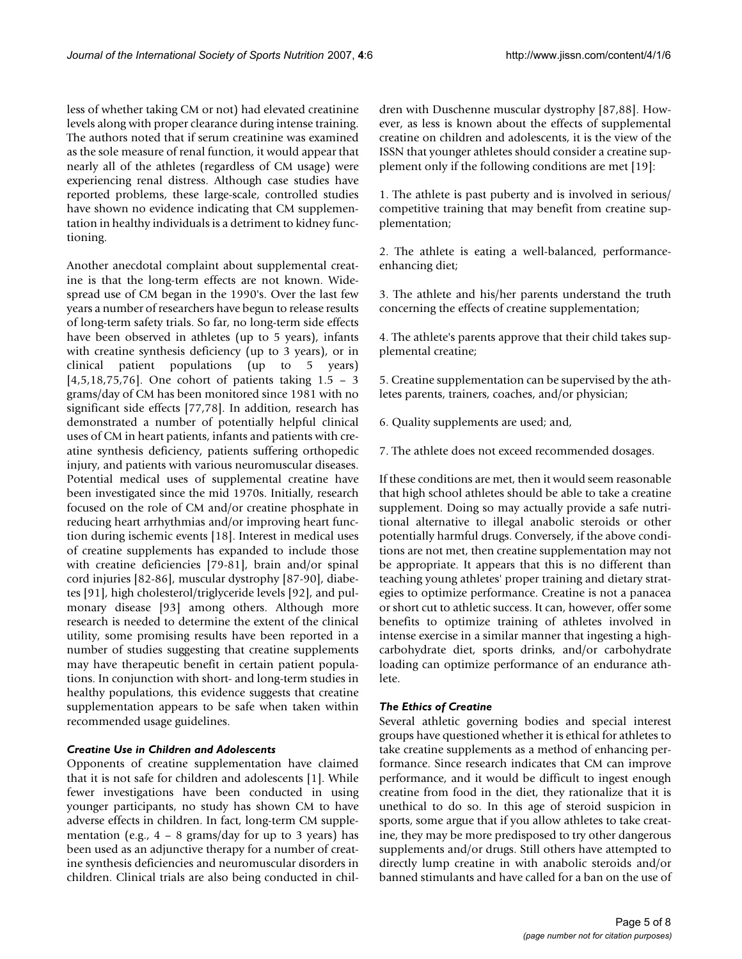less of whether taking CM or not) had elevated creatinine levels along with proper clearance during intense training. The authors noted that if serum creatinine was examined as the sole measure of renal function, it would appear that nearly all of the athletes (regardless of CM usage) were experiencing renal distress. Although case studies have reported problems, these large-scale, controlled studies have shown no evidence indicating that CM supplementation in healthy individuals is a detriment to kidney functioning.

Another anecdotal complaint about supplemental creatine is that the long-term effects are not known. Widespread use of CM began in the 1990's. Over the last few years a number of researchers have begun to release results of long-term safety trials. So far, no long-term side effects have been observed in athletes (up to 5 years), infants with creatine synthesis deficiency (up to 3 years), or in clinical patient populations (up to 5 years) [4,5,18,75,76]. One cohort of patients taking 1.5 – 3 grams/day of CM has been monitored since 1981 with no significant side effects [77,78]. In addition, research has demonstrated a number of potentially helpful clinical uses of CM in heart patients, infants and patients with creatine synthesis deficiency, patients suffering orthopedic injury, and patients with various neuromuscular diseases. Potential medical uses of supplemental creatine have been investigated since the mid 1970s. Initially, research focused on the role of CM and/or creatine phosphate in reducing heart arrhythmias and/or improving heart function during ischemic events [18]. Interest in medical uses of creatine supplements has expanded to include those with creatine deficiencies [79-81], brain and/or spinal cord injuries [82-86], muscular dystrophy [87-90], diabetes [91], high cholesterol/triglyceride levels [92], and pulmonary disease [93] among others. Although more research is needed to determine the extent of the clinical utility, some promising results have been reported in a number of studies suggesting that creatine supplements may have therapeutic benefit in certain patient populations. In conjunction with short- and long-term studies in healthy populations, this evidence suggests that creatine supplementation appears to be safe when taken within recommended usage guidelines.

### *Creatine Use in Children and Adolescents*

Opponents of creatine supplementation have claimed that it is not safe for children and adolescents [1]. While fewer investigations have been conducted in using younger participants, no study has shown CM to have adverse effects in children. In fact, long-term CM supplementation (e.g.,  $4 - 8$  grams/day for up to 3 years) has been used as an adjunctive therapy for a number of creatine synthesis deficiencies and neuromuscular disorders in children. Clinical trials are also being conducted in children with Duschenne muscular dystrophy [87,[88\]](#page-7-0). However, as less is known about the effects of supplemental creatine on children and adolescents, it is the view of the ISSN that younger athletes should consider a creatine supplement only if the following conditions are met [19]:

1. The athlete is past puberty and is involved in serious/ competitive training that may benefit from creatine supplementation;

2. The athlete is eating a well-balanced, performanceenhancing diet;

3. The athlete and his/her parents understand the truth concerning the effects of creatine supplementation;

4. The athlete's parents approve that their child takes supplemental creatine;

5. Creatine supplementation can be supervised by the athletes parents, trainers, coaches, and/or physician;

6. Quality supplements are used; and,

7. The athlete does not exceed recommended dosages.

If these conditions are met, then it would seem reasonable that high school athletes should be able to take a creatine supplement. Doing so may actually provide a safe nutritional alternative to illegal anabolic steroids or other potentially harmful drugs. Conversely, if the above conditions are not met, then creatine supplementation may not be appropriate. It appears that this is no different than teaching young athletes' proper training and dietary strategies to optimize performance. Creatine is not a panacea or short cut to athletic success. It can, however, offer some benefits to optimize training of athletes involved in intense exercise in a similar manner that ingesting a highcarbohydrate diet, sports drinks, and/or carbohydrate loading can optimize performance of an endurance athlete.

### *The Ethics of Creatine*

Several athletic governing bodies and special interest groups have questioned whether it is ethical for athletes to take creatine supplements as a method of enhancing performance. Since research indicates that CM can improve performance, and it would be difficult to ingest enough creatine from food in the diet, they rationalize that it is unethical to do so. In this age of steroid suspicion in sports, some argue that if you allow athletes to take creatine, they may be more predisposed to try other dangerous supplements and/or drugs. Still others have attempted to directly lump creatine in with anabolic steroids and/or banned stimulants and have called for a ban on the use of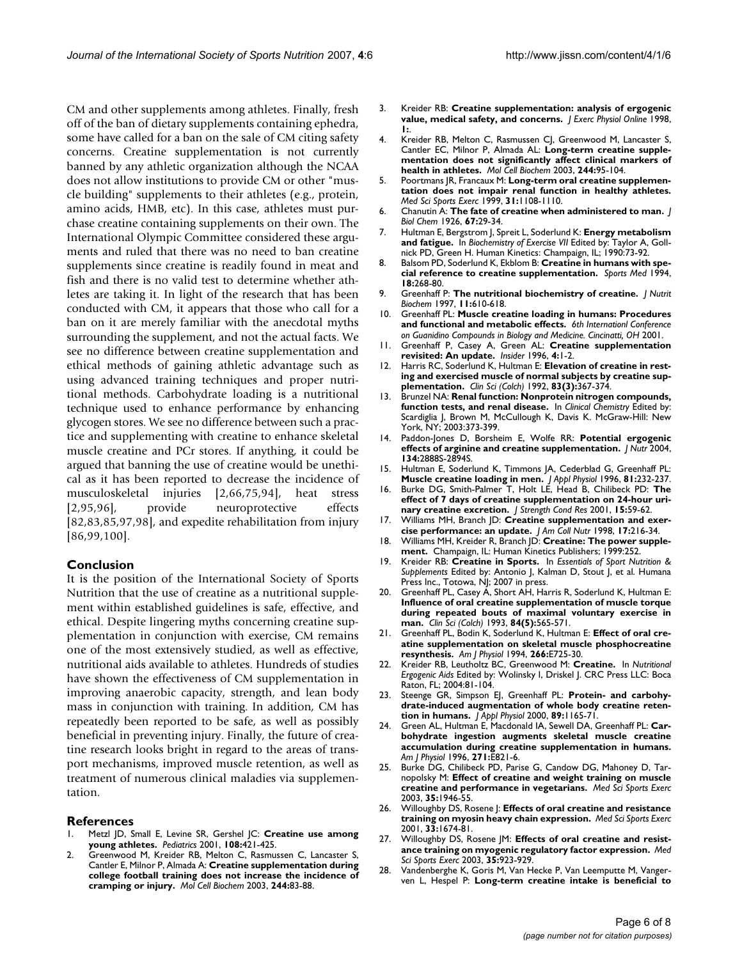CM and other supplements among athletes. Finally, fresh off of the ban of dietary supplements containing ephedra, some have called for a ban on the sale of CM citing safety concerns. Creatine supplementation is not currently banned by any athletic organization although the NCAA does not allow institutions to provide CM or other "muscle building" supplements to their athletes (e.g., protein, amino acids, HMB, etc). In this case, athletes must purchase creatine containing supplements on their own. The International Olympic Committee considered these arguments and ruled that there was no need to ban creatine supplements since creatine is readily found in meat and fish and there is no valid test to determine whether athletes are taking it. In light of the research that has been conducted with CM, it appears that those who call for a ban on it are merely familiar with the anecdotal myths surrounding the supplement, and not the actual facts. We see no difference between creatine supplementation and ethical methods of gaining athletic advantage such as using advanced training techniques and proper nutritional methods. Carbohydrate loading is a nutritional technique used to enhance performance by enhancing glycogen stores. We see no difference between such a practice and supplementing with creatine to enhance skeletal muscle creatine and PCr stores. If anything, it could be argued that banning the use of creatine would be unethical as it has been reported to decrease the incidence of musculoskeletal injuries [2,66,75,94], heat stress [2,95,96], provide neuroprotective effects [82,83,85,97,98], and expedite rehabilitation from injury [86,99,100].

#### **Conclusion**

It is the position of the International Society of Sports Nutrition that the use of creatine as a nutritional supplement within established guidelines is safe, effective, and ethical. Despite lingering myths concerning creatine supplementation in conjunction with exercise, CM remains one of the most extensively studied, as well as effective, nutritional aids available to athletes. Hundreds of studies have shown the effectiveness of CM supplementation in improving anaerobic capacity, strength, and lean body mass in conjunction with training. In addition, CM has repeatedly been reported to be safe, as well as possibly beneficial in preventing injury. Finally, the future of creatine research looks bright in regard to the areas of transport mechanisms, improved muscle retention, as well as treatment of numerous clinical maladies via supplementation.

#### **References**

- 1. Metzl JD, Small E, Levine SR, Gershel JC: **[Creatine use among](http://www.ncbi.nlm.nih.gov/entrez/query.fcgi?cmd=Retrieve&db=PubMed&dopt=Abstract&list_uids=11483809) [young athletes.](http://www.ncbi.nlm.nih.gov/entrez/query.fcgi?cmd=Retrieve&db=PubMed&dopt=Abstract&list_uids=11483809)** *Pediatrics* 2001, **108:**421-425.
- 2. Greenwood M, Kreider RB, Melton C, Rasmussen C, Lancaster S, Cantler E, Milnor P, Almada A: **[Creatine supplementation during](http://www.ncbi.nlm.nih.gov/entrez/query.fcgi?cmd=Retrieve&db=PubMed&dopt=Abstract&list_uids=12701814) [college football training does not increase the incidence of](http://www.ncbi.nlm.nih.gov/entrez/query.fcgi?cmd=Retrieve&db=PubMed&dopt=Abstract&list_uids=12701814) [cramping or injury.](http://www.ncbi.nlm.nih.gov/entrez/query.fcgi?cmd=Retrieve&db=PubMed&dopt=Abstract&list_uids=12701814)** *Mol Cell Biochem* 2003, **244:**83-88.
- 3. Kreider RB: **Creatine supplementation: analysis of ergogenic value, medical safety, and concerns.** *J Exerc Physiol Online* 1998, **1:**.
- 4. Kreider RB, Melton C, Rasmussen CJ, Greenwood M, Lancaster S, Cantler EC, Milnor P, Almada AL: **[Long-term creatine supple](http://www.ncbi.nlm.nih.gov/entrez/query.fcgi?cmd=Retrieve&db=PubMed&dopt=Abstract&list_uids=12701816)[mentation does not significantly affect clinical markers of](http://www.ncbi.nlm.nih.gov/entrez/query.fcgi?cmd=Retrieve&db=PubMed&dopt=Abstract&list_uids=12701816) [health in athletes.](http://www.ncbi.nlm.nih.gov/entrez/query.fcgi?cmd=Retrieve&db=PubMed&dopt=Abstract&list_uids=12701816)** *Mol Cell Biochem* 2003, **244:**95-104.
- 5. Poortmans JR, Francaux M: **[Long-term oral creatine supplemen](http://www.ncbi.nlm.nih.gov/entrez/query.fcgi?cmd=Retrieve&db=PubMed&dopt=Abstract&list_uids=10449011)[tation does not impair renal function in healthy athletes.](http://www.ncbi.nlm.nih.gov/entrez/query.fcgi?cmd=Retrieve&db=PubMed&dopt=Abstract&list_uids=10449011)** *Med Sci Sports Exerc* 1999, **31:**1108-1110.
- 6. Chanutin A: **The fate of creatine when administered to man.** *J Biol Chem* 1926, **67:**29-34.
- 7. Hultman E, Bergstrom J, Spreit L, Soderlund K: **Energy metabolism and fatigue.** In *Biochemistry of Exercise VII* Edited by: Taylor A, Gollnick PD, Green H. Human Kinetics: Champaign, IL; 1990:73-92.
- 8. Balsom PD, Soderlund K, Ekblom B: **[Creatine in humans with spe](http://www.ncbi.nlm.nih.gov/entrez/query.fcgi?cmd=Retrieve&db=PubMed&dopt=Abstract&list_uids=7817065)[cial reference to creatine supplementation.](http://www.ncbi.nlm.nih.gov/entrez/query.fcgi?cmd=Retrieve&db=PubMed&dopt=Abstract&list_uids=7817065)** *Sports Med* 1994, **18:**268-80.
- 9. Greenhaff P: **The nutritional biochemistry of creatine.** *J Nutrit Biochem* 1997, **11:**610-618.
- 10. Greenhaff PL: **Muscle creatine loading in humans: Procedures and functional and metabolic effects.** *6th Internationl Conference on Guanidino Compounds in Biology and Medicine. Cincinatti, OH* 2001.
- 11. Greenhaff P, Casey A, Green AL: **Creatine supplementation revisited: An update.** *Insider* 1996, **4:**1-2.
- 12. Harris RC, Soderlund K, Hultman E: **Elevation of creatine in resting and exercised muscle of normal subjects by creatine supplementation.** *Clin Sci (Colch)* 1992, **83(3):**367-374.
- 13. Brunzel NA: **[Renal function: Nonprotein nitrogen compounds,](http://www.ncbi.nlm.nih.gov/entrez/query.fcgi?cmd=Retrieve&db=PubMed&dopt=Abstract&list_uids=14656902) [function tests, and renal disease.](http://www.ncbi.nlm.nih.gov/entrez/query.fcgi?cmd=Retrieve&db=PubMed&dopt=Abstract&list_uids=14656902)** In *Clinical Chemistry* Edited by: Scardiglia J, Brown M, McCullough K, Davis K. McGraw-Hill: New York, NY; 2003:373-399.
- 14. Paddon-Jones D, Borsheim E, Wolfe RR: **[Potential ergogenic](http://www.ncbi.nlm.nih.gov/entrez/query.fcgi?cmd=Retrieve&db=PubMed&dopt=Abstract&list_uids=15465806) [effects of arginine and creatine supplementation.](http://www.ncbi.nlm.nih.gov/entrez/query.fcgi?cmd=Retrieve&db=PubMed&dopt=Abstract&list_uids=15465806)** *J Nutr* 2004, **134:**2888S-2894S.
- 15. Hultman E, Soderlund K, Timmons JA, Cederblad G, Greenhaff PL: **[Muscle creatine loading in men.](http://www.ncbi.nlm.nih.gov/entrez/query.fcgi?cmd=Retrieve&db=PubMed&dopt=Abstract&list_uids=8828669)** *J Appl Physiol* 1996, **81:**232-237.
- 16. Burke DG, Smith-Palmer T, Holt LE, Head B, Chilibeck PD: **[The](http://www.ncbi.nlm.nih.gov/entrez/query.fcgi?cmd=Retrieve&db=PubMed&dopt=Abstract&list_uids=11708707) [effect of 7 days of creatine supplementation on 24-hour uri](http://www.ncbi.nlm.nih.gov/entrez/query.fcgi?cmd=Retrieve&db=PubMed&dopt=Abstract&list_uids=11708707)[nary creatine excretion.](http://www.ncbi.nlm.nih.gov/entrez/query.fcgi?cmd=Retrieve&db=PubMed&dopt=Abstract&list_uids=11708707)** *J Strength Cond Res* 2001, **15:**59-62.
- 17. Williams MH, Branch JD: **[Creatine supplementation and exer](http://www.ncbi.nlm.nih.gov/entrez/query.fcgi?cmd=Retrieve&db=PubMed&dopt=Abstract&list_uids=9627907)[cise performance: an update.](http://www.ncbi.nlm.nih.gov/entrez/query.fcgi?cmd=Retrieve&db=PubMed&dopt=Abstract&list_uids=9627907)** *J Am Coll Nutr* 1998, **17:**216-34.
- 18. Williams MH, Kreider R, Branch JD: **Creatine: The power supplement.** Champaign, IL: Human Kinetics Publishers; 1999:252.
- 19. Kreider RB: **Creatine in Sports.** In *Essentials of Sport Nutrition & Supplements* Edited by: Antonio J, Kalman D, Stout J, et al. Humana Press Inc., Totowa, NJ; 2007 in press.
- 20. Greenhaff PL, Casey A, Short AH, Harris R, Soderlund K, Hultman E: **Influence of oral creatine supplementation of muscle torque during repeated bouts of maximal voluntary exercise in man.** *Clin Sci (Colch)* 1993, **84(5):**565-571.
- 21. Greenhaff PL, Bodin K, Soderlund K, Hultman E: **[Effect of oral cre](http://www.ncbi.nlm.nih.gov/entrez/query.fcgi?cmd=Retrieve&db=PubMed&dopt=Abstract&list_uids=8203511)[atine supplementation on skeletal muscle phosphocreatine](http://www.ncbi.nlm.nih.gov/entrez/query.fcgi?cmd=Retrieve&db=PubMed&dopt=Abstract&list_uids=8203511) [resynthesis.](http://www.ncbi.nlm.nih.gov/entrez/query.fcgi?cmd=Retrieve&db=PubMed&dopt=Abstract&list_uids=8203511)** *Am J Physiol* 1994, **266:**E725-30.
- 22. Kreider RB, Leutholtz BC, Greenwood M: **Creatine.** In *Nutritional Ergogenic Aids* Edited by: Wolinsky I, Driskel J. CRC Press LLC: Boca Raton, FL; 2004:81-104.
- 23. Steenge GR, Simpson EJ, Greenhaff PL: **[Protein- and carbohy](http://www.ncbi.nlm.nih.gov/entrez/query.fcgi?cmd=Retrieve&db=PubMed&dopt=Abstract&list_uids=10956365)[drate-induced augmentation of whole body creatine reten](http://www.ncbi.nlm.nih.gov/entrez/query.fcgi?cmd=Retrieve&db=PubMed&dopt=Abstract&list_uids=10956365)[tion in humans.](http://www.ncbi.nlm.nih.gov/entrez/query.fcgi?cmd=Retrieve&db=PubMed&dopt=Abstract&list_uids=10956365)** *J Appl Physiol* 2000, **89:**1165-71.
- 24. Green AL, Hultman E, Macdonald IA, Sewell DA, Greenhaff PL: **[Car](http://www.ncbi.nlm.nih.gov/entrez/query.fcgi?cmd=Retrieve&db=PubMed&dopt=Abstract&list_uids=8944667)bohydrate ingestion augments skeletal muscle creatine [accumulation during creatine supplementation in humans.](http://www.ncbi.nlm.nih.gov/entrez/query.fcgi?cmd=Retrieve&db=PubMed&dopt=Abstract&list_uids=8944667)** *Am J Physiol* 1996, **271:**E821-6.
- 25. Burke DG, Chilibeck PD, Parise G, Candow DG, Mahoney D, Tarnopolsky M: **[Effect of creatine and weight training on muscle](http://www.ncbi.nlm.nih.gov/entrez/query.fcgi?cmd=Retrieve&db=PubMed&dopt=Abstract&list_uids=14600563) [creatine and performance in vegetarians.](http://www.ncbi.nlm.nih.gov/entrez/query.fcgi?cmd=Retrieve&db=PubMed&dopt=Abstract&list_uids=14600563)** *Med Sci Sports Exerc* 2003, **35:**1946-55.
- 26. Willoughby DS, Rosene |: [Effects of oral creatine and resistance](http://www.ncbi.nlm.nih.gov/entrez/query.fcgi?cmd=Retrieve&db=PubMed&dopt=Abstract&list_uids=11581551) **[training on myosin heavy chain expression.](http://www.ncbi.nlm.nih.gov/entrez/query.fcgi?cmd=Retrieve&db=PubMed&dopt=Abstract&list_uids=11581551)** *Med Sci Sports Exerc* 2001, **33:**1674-81.
- 27. Willoughby DS, Rosene JM: **[Effects of oral creatine and resist](http://www.ncbi.nlm.nih.gov/entrez/query.fcgi?cmd=Retrieve&db=PubMed&dopt=Abstract&list_uids=12783039)[ance training on myogenic regulatory factor expression.](http://www.ncbi.nlm.nih.gov/entrez/query.fcgi?cmd=Retrieve&db=PubMed&dopt=Abstract&list_uids=12783039)** *Med Sci Sports Exerc* 2003, **35:**923-929.
- 28. Vandenberghe K, Goris M, Van Hecke P, Van Leemputte M, Vangerven L, Hespel P: **[Long-term creatine intake is beneficial to](http://www.ncbi.nlm.nih.gov/entrez/query.fcgi?cmd=Retrieve&db=PubMed&dopt=Abstract&list_uids=9390981)**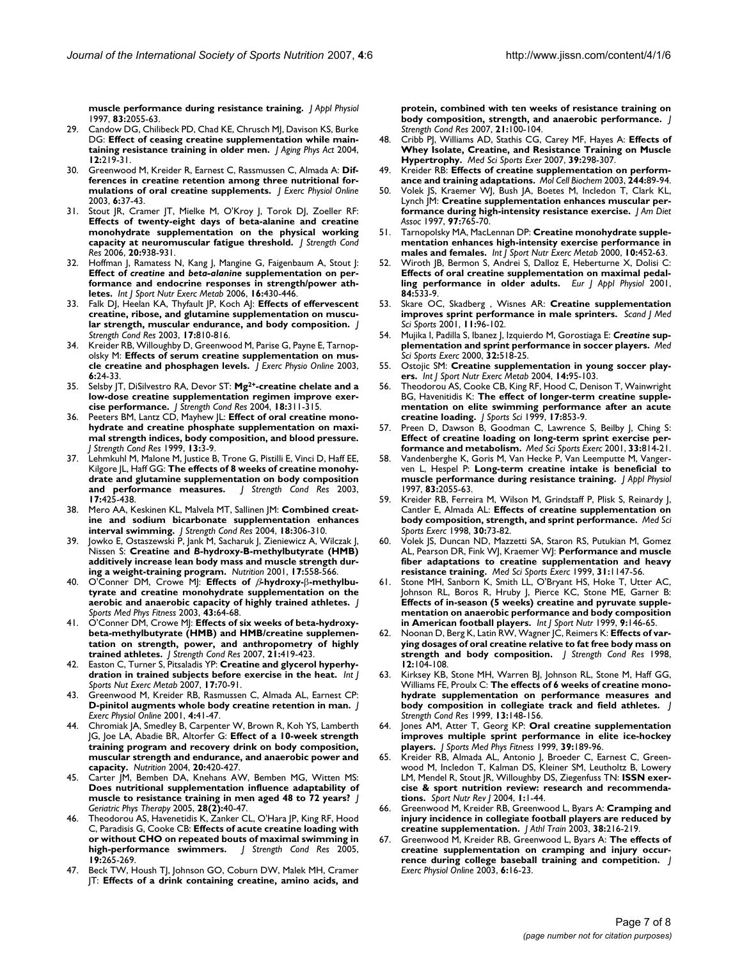**[muscle performance during resistance training.](http://www.ncbi.nlm.nih.gov/entrez/query.fcgi?cmd=Retrieve&db=PubMed&dopt=Abstract&list_uids=9390981)** *J Appl Physiol* 1997, **83:**2055-63.

- 29. Candow DG, Chilibeck PD, Chad KE, Chrusch MJ, Davison KS, Burke DG: **[Effect of ceasing creatine supplementation while main](http://www.ncbi.nlm.nih.gov/entrez/query.fcgi?cmd=Retrieve&db=PubMed&dopt=Abstract&list_uids=15263100)[taining resistance training in older men.](http://www.ncbi.nlm.nih.gov/entrez/query.fcgi?cmd=Retrieve&db=PubMed&dopt=Abstract&list_uids=15263100)** *J Aging Phys Act* 2004, **12:**219-31.
- 30. Greenwood M, Kreider R, Earnest C, Rassmussen C, Almada A: **Differences in creatine retention among three nutritional formulations of oral creatine supplements.** *J Exerc Physiol Online* 2003, **6:**37-43.
- 31. Stout JR, Cramer JT, Mielke M, O'Kroy J, Torok DJ, Zoeller RF: **Effects of twenty-eight days of beta-alanine and creatine monohydrate supplementation on the physical working capacity at neuromuscular fatigue threshold.** *J Strength Cond Res* 2006, **20:**938-931.
- <span id="page-6-0"></span>32. Hoffman J, Ramatess N, Kang J, Mangine G, Faigenbaum A, Stout J: **Effect of** *creatine* **and** *beta-alanine* **[supplementation on per](http://www.ncbi.nlm.nih.gov/entrez/query.fcgi?cmd=Retrieve&db=PubMed&dopt=Abstract&list_uids=17136944)[formance and endocrine responses in strength/power ath](http://www.ncbi.nlm.nih.gov/entrez/query.fcgi?cmd=Retrieve&db=PubMed&dopt=Abstract&list_uids=17136944)[letes.](http://www.ncbi.nlm.nih.gov/entrez/query.fcgi?cmd=Retrieve&db=PubMed&dopt=Abstract&list_uids=17136944)** *Int J Sport Nutr Exerc Metab* 2006, **16:**430-446.
- 33. Falk DJ, Heelan KA, Thyfault JP, Koch AJ: **[Effects of effervescent](http://www.ncbi.nlm.nih.gov/entrez/query.fcgi?cmd=Retrieve&db=PubMed&dopt=Abstract&list_uids=14636104) [creatine, ribose, and glutamine supplementation on muscu](http://www.ncbi.nlm.nih.gov/entrez/query.fcgi?cmd=Retrieve&db=PubMed&dopt=Abstract&list_uids=14636104)[lar strength, muscular endurance, and body composition.](http://www.ncbi.nlm.nih.gov/entrez/query.fcgi?cmd=Retrieve&db=PubMed&dopt=Abstract&list_uids=14636104)** *J Strength Cond Res* 2003, **17:**810-816.
- 34. Kreider RB, Willoughby D, Greenwood M, Parise G, Payne E, Tarnopolsky M: **Effects of serum creatine supplementation on muscle creatine and phosphagen levels.** *J Exerc Physio Online* 2003, **6:**24-33.
- 35. Selsby JT, DiSilvestro RA, Devor ST: **Mg2[+-creatine chelate and a](http://www.ncbi.nlm.nih.gov/entrez/query.fcgi?cmd=Retrieve&db=PubMed&dopt=Abstract&list_uids=15142029) [low-dose creatine supplementation regimen improve exer](http://www.ncbi.nlm.nih.gov/entrez/query.fcgi?cmd=Retrieve&db=PubMed&dopt=Abstract&list_uids=15142029)[cise performance.](http://www.ncbi.nlm.nih.gov/entrez/query.fcgi?cmd=Retrieve&db=PubMed&dopt=Abstract&list_uids=15142029)** *J Strength Cond Res* 2004, **18:**311-315.
- Peeters BM, Lantz CD, Mayhew JL: **Effect of oral creatine monohydrate and creatine phosphate supplementation on maximal strength indices, body composition, and blood pressure.** *J Strength Cond Res* 1999, **13:**3-9.
- 37. Lehmkuhl M, Malone M, Justice B, Trone G, Pistilli E, Vinci D, Haff EE, Kilgore JL, Haff GG: **[The effects of 8 weeks of creatine monohy](http://www.ncbi.nlm.nih.gov/entrez/query.fcgi?cmd=Retrieve&db=PubMed&dopt=Abstract&list_uids=12930166)[drate and glutamine supplementation on body composition](http://www.ncbi.nlm.nih.gov/entrez/query.fcgi?cmd=Retrieve&db=PubMed&dopt=Abstract&list_uids=12930166) [and performance measures.](http://www.ncbi.nlm.nih.gov/entrez/query.fcgi?cmd=Retrieve&db=PubMed&dopt=Abstract&list_uids=12930166)** *J Strength Cond Res* 2003, **17:**425-438.
- 38. Mero AA, Keskinen KL, Malvela MT, Sallinen JM: **[Combined creat](http://www.ncbi.nlm.nih.gov/entrez/query.fcgi?cmd=Retrieve&db=PubMed&dopt=Abstract&list_uids=15142001)[ine and sodium bicarbonate supplementation enhances](http://www.ncbi.nlm.nih.gov/entrez/query.fcgi?cmd=Retrieve&db=PubMed&dopt=Abstract&list_uids=15142001) [interval swimming.](http://www.ncbi.nlm.nih.gov/entrez/query.fcgi?cmd=Retrieve&db=PubMed&dopt=Abstract&list_uids=15142001)** *J Strength Cond Res* 2004, **18:**306-310.
- 39. Jowko E, Ostaszewski P, Jank M, Sacharuk J, Zieniewicz A, Wilczak J, Nissen S: **Creatine and** *B***[-hydroxy-B-methylbutyrate \(HMB\)](http://www.ncbi.nlm.nih.gov/entrez/query.fcgi?cmd=Retrieve&db=PubMed&dopt=Abstract&list_uids=11448573) [additively increase lean body mass and muscle strength dur](http://www.ncbi.nlm.nih.gov/entrez/query.fcgi?cmd=Retrieve&db=PubMed&dopt=Abstract&list_uids=11448573)[ing a weight-training program.](http://www.ncbi.nlm.nih.gov/entrez/query.fcgi?cmd=Retrieve&db=PubMed&dopt=Abstract&list_uids=11448573)** *Nutrition* 2001, **17:**558-566.
- <span id="page-6-1"></span>40. O'Conner DM, Crowe MJ: **Effects of** β**-hydroxy-**β**[-methylbu](http://www.ncbi.nlm.nih.gov/entrez/query.fcgi?cmd=Retrieve&db=PubMed&dopt=Abstract&list_uids=12629464)[tyrate and creatine monohydrate supplementation on the](http://www.ncbi.nlm.nih.gov/entrez/query.fcgi?cmd=Retrieve&db=PubMed&dopt=Abstract&list_uids=12629464) [aerobic and anaerobic capacity of highly trained athletes.](http://www.ncbi.nlm.nih.gov/entrez/query.fcgi?cmd=Retrieve&db=PubMed&dopt=Abstract&list_uids=12629464)** *J Sports Med Phys Fitness* 2003, **43:**64-68.
- 41. O'Conner DM, Crowe MJ: **[Effects of six weeks of beta-hydroxy](http://www.ncbi.nlm.nih.gov/entrez/query.fcgi?cmd=Retrieve&db=PubMed&dopt=Abstract&list_uids=17530933)beta-methylbutyrate (HMB) and HMB/creatine supplemen[tation on strength, power, and anthropometry of highly](http://www.ncbi.nlm.nih.gov/entrez/query.fcgi?cmd=Retrieve&db=PubMed&dopt=Abstract&list_uids=17530933) [trained athletes.](http://www.ncbi.nlm.nih.gov/entrez/query.fcgi?cmd=Retrieve&db=PubMed&dopt=Abstract&list_uids=17530933)** *J Strength Cond Res* 2007, **21:**419-423.
- Easton C, Turner S, Pitsaladis YP: Creatine and glycerol hyperhy**dration in trained subjects before exercise in the heat.** *Int J Sports Nut Exerc Metab* 2007, **17:**70-91.
- 43. Greenwood M, Kreider RB, Rasmussen C, Almada AL, Earnest CP: **D-pinitol augments whole body creatine retention in man.** *J Exerc Physiol Online* 2001, **4:**41-47.
- 44. Chromiak JA, Smedley B, Carpenter W, Brown R, Koh YS, Lamberth JG, Joe LA, Abadie BR, Altorfer G: **[Effect of a 10-week strength](http://www.ncbi.nlm.nih.gov/entrez/query.fcgi?cmd=Retrieve&db=PubMed&dopt=Abstract&list_uids=15105028) training program and recovery drink on body composition, [muscular strength and endurance, and anaerobic power and](http://www.ncbi.nlm.nih.gov/entrez/query.fcgi?cmd=Retrieve&db=PubMed&dopt=Abstract&list_uids=15105028) [capacity.](http://www.ncbi.nlm.nih.gov/entrez/query.fcgi?cmd=Retrieve&db=PubMed&dopt=Abstract&list_uids=15105028)** *Nutrition* 2004, **20:**420-427.
- 45. Carter JM, Bemben DA, Knehans AW, Bemben MG, Witten MS: **Does nutritional supplementation influence adaptability of muscle to resistance training in men aged 48 to 72 years?** *J Geriatric Phys Therapy* 2005, **28(2):**40-47.
- 46. Theodorou AS, Havenetidis K, Zanker CL, O'Hara JP, King RF, Hood C, Paradisis G, Cooke CB: **[Effects of acute creatine loading with](http://www.ncbi.nlm.nih.gov/entrez/query.fcgi?cmd=Retrieve&db=PubMed&dopt=Abstract&list_uids=15903360) [or without CHO on repeated bouts of maximal swimming in](http://www.ncbi.nlm.nih.gov/entrez/query.fcgi?cmd=Retrieve&db=PubMed&dopt=Abstract&list_uids=15903360) [high-performance swimmers.](http://www.ncbi.nlm.nih.gov/entrez/query.fcgi?cmd=Retrieve&db=PubMed&dopt=Abstract&list_uids=15903360)** *J Strength Cond Res* 2005, **19:**265-269.
- 47. Beck TW, Housh TJ, Johnson GO, Coburn DW, Malek MH, Cramer JT: **[Effects of a drink containing creatine, amino acids, and](http://www.ncbi.nlm.nih.gov/entrez/query.fcgi?cmd=Retrieve&db=PubMed&dopt=Abstract&list_uids=17313263)**

**[protein, combined with ten weeks of resistance training on](http://www.ncbi.nlm.nih.gov/entrez/query.fcgi?cmd=Retrieve&db=PubMed&dopt=Abstract&list_uids=17313263) [body composition, strength, and anaerobic performance.](http://www.ncbi.nlm.nih.gov/entrez/query.fcgi?cmd=Retrieve&db=PubMed&dopt=Abstract&list_uids=17313263)** *J Strength Cond Res* 2007, **21:**100-104.

- 48. Cribb PJ, Williams AD, Stathis CG, Carey MF, Hayes A: **Effects of Whey Isolate, Creatine, and Resistance Training on Muscle Hypertrophy.** *Med Sci Sports Exer* 2007, **39:**298-307.
- 49. Kreider RB: **[Effects of creatine supplementation on perform](http://www.ncbi.nlm.nih.gov/entrez/query.fcgi?cmd=Retrieve&db=PubMed&dopt=Abstract&list_uids=12701815)[ance and training adaptations.](http://www.ncbi.nlm.nih.gov/entrez/query.fcgi?cmd=Retrieve&db=PubMed&dopt=Abstract&list_uids=12701815)** *Mol Cell Biochem* 2003, **244:**89-94.
- Volek JS, Kraemer WJ, Bush JA, Boetes M, Incledon T, Clark KL, Lynch JM: **[Creatine supplementation enhances muscular per](http://www.ncbi.nlm.nih.gov/entrez/query.fcgi?cmd=Retrieve&db=PubMed&dopt=Abstract&list_uids=9216554)[formance during high-intensity resistance exercise.](http://www.ncbi.nlm.nih.gov/entrez/query.fcgi?cmd=Retrieve&db=PubMed&dopt=Abstract&list_uids=9216554)** *J Am Diet Assoc* 1997, **97:**765-70.
- 51. Tarnopolsky MA, MacLennan DP: **[Creatine monohydrate supple](http://www.ncbi.nlm.nih.gov/entrez/query.fcgi?cmd=Retrieve&db=PubMed&dopt=Abstract&list_uids=11099372)[mentation enhances high-intensity exercise performance in](http://www.ncbi.nlm.nih.gov/entrez/query.fcgi?cmd=Retrieve&db=PubMed&dopt=Abstract&list_uids=11099372) [males and females.](http://www.ncbi.nlm.nih.gov/entrez/query.fcgi?cmd=Retrieve&db=PubMed&dopt=Abstract&list_uids=11099372)** *Int J Sport Nutr Exerc Metab* 2000, **10:**452-63.
- 52. Wiroth JB, Bermon S, Andrei S, Dalloz E, Heberturne X, Dolisi C: **[Effects of oral creatine supplementation on maximal pedal](http://www.ncbi.nlm.nih.gov/entrez/query.fcgi?cmd=Retrieve&db=PubMed&dopt=Abstract&list_uids=11482548)[ling performance in older adults.](http://www.ncbi.nlm.nih.gov/entrez/query.fcgi?cmd=Retrieve&db=PubMed&dopt=Abstract&list_uids=11482548)** *Eur J Appl Physiol* 2001, **84:**533-9.
- 53. Skare OC, Skadberg , Wisnes AR: **[Creatine supplementation](http://www.ncbi.nlm.nih.gov/entrez/query.fcgi?cmd=Retrieve&db=PubMed&dopt=Abstract&list_uids=11252467) [improves sprint performance in male sprinters.](http://www.ncbi.nlm.nih.gov/entrez/query.fcgi?cmd=Retrieve&db=PubMed&dopt=Abstract&list_uids=11252467)** *Scand J Med Sci Sports* 2001, **11:**96-102.
- 54. Mujika I, Padilla S, Ibanez J, Izquierdo M, Gorostiaga E: *Creatine* **[sup](http://www.ncbi.nlm.nih.gov/entrez/query.fcgi?cmd=Retrieve&db=PubMed&dopt=Abstract&list_uids=10694141)[plementation and sprint performance in soccer players.](http://www.ncbi.nlm.nih.gov/entrez/query.fcgi?cmd=Retrieve&db=PubMed&dopt=Abstract&list_uids=10694141)** *Med Sci Sports Exerc* 2000, **32:**518-25.
- 55. Ostojic SM: **[Creatine supplementation in young soccer play](http://www.ncbi.nlm.nih.gov/entrez/query.fcgi?cmd=Retrieve&db=PubMed&dopt=Abstract&list_uids=15129933)[ers.](http://www.ncbi.nlm.nih.gov/entrez/query.fcgi?cmd=Retrieve&db=PubMed&dopt=Abstract&list_uids=15129933)** *Int J Sport Nutr Exerc Metab* 2004, **14:**95-103.
- 56. Theodorou AS, Cooke CB, King RF, Hood C, Denison T, Wainwright BG, Havenitidis K: **[The effect of longer-term creatine supple](http://www.ncbi.nlm.nih.gov/entrez/query.fcgi?cmd=Retrieve&db=PubMed&dopt=Abstract&list_uids=10585165)[mentation on elite swimming performance after an acute](http://www.ncbi.nlm.nih.gov/entrez/query.fcgi?cmd=Retrieve&db=PubMed&dopt=Abstract&list_uids=10585165) [creatine loading.](http://www.ncbi.nlm.nih.gov/entrez/query.fcgi?cmd=Retrieve&db=PubMed&dopt=Abstract&list_uids=10585165)** *J Sports Sci* 1999, **17:**853-9.
- Preen D, Dawson B, Goodman C, Lawrence S, Beilby J, Ching S: **[Effect of creatine loading on long-term sprint exercise per](http://www.ncbi.nlm.nih.gov/entrez/query.fcgi?cmd=Retrieve&db=PubMed&dopt=Abstract&list_uids=11323554)[formance and metabolism.](http://www.ncbi.nlm.nih.gov/entrez/query.fcgi?cmd=Retrieve&db=PubMed&dopt=Abstract&list_uids=11323554)** *Med Sci Sports Exerc* 2001, **33:**814-21.
- Vandenberghe K, Goris M, Van Hecke P, Van Leemputte M, Vangerven L, Hespel P: **[Long-term creatine intake is beneficial to](http://www.ncbi.nlm.nih.gov/entrez/query.fcgi?cmd=Retrieve&db=PubMed&dopt=Abstract&list_uids=9390981) [muscle performance during resistance training.](http://www.ncbi.nlm.nih.gov/entrez/query.fcgi?cmd=Retrieve&db=PubMed&dopt=Abstract&list_uids=9390981)** *J Appl Physiol* 1997, **83:**2055-63.
- 59. Kreider RB, Ferreira M, Wilson M, Grindstaff P, Plisk S, Reinardy J, Cantler E, Almada AL: **[Effects of creatine supplementation on](http://www.ncbi.nlm.nih.gov/entrez/query.fcgi?cmd=Retrieve&db=PubMed&dopt=Abstract&list_uids=9475647) [body composition, strength, and sprint performance.](http://www.ncbi.nlm.nih.gov/entrez/query.fcgi?cmd=Retrieve&db=PubMed&dopt=Abstract&list_uids=9475647)** *Med Sci Sports Exerc* 1998, **30:**73-82.
- 60. Volek JS, Duncan ND, Mazzetti SA, Staron RS, Putukian M, Gomez AL, Pearson DR, Fink WJ, Kraemer WJ: **[Performance and muscle](http://www.ncbi.nlm.nih.gov/entrez/query.fcgi?cmd=Retrieve&db=PubMed&dopt=Abstract&list_uids=10449017) [fiber adaptations to creatine supplementation and heavy](http://www.ncbi.nlm.nih.gov/entrez/query.fcgi?cmd=Retrieve&db=PubMed&dopt=Abstract&list_uids=10449017) [resistance training.](http://www.ncbi.nlm.nih.gov/entrez/query.fcgi?cmd=Retrieve&db=PubMed&dopt=Abstract&list_uids=10449017)** *Med Sci Sports Exerc* 1999, **31:**1147-56.
- 61. Stone MH, Sanborn K, Smith LL, O'Bryant HS, Hoke T, Utter AC, Johnson RL, Boros R, Hruby J, Pierce KC, Stone ME, Garner B: **Effects of in-season (5 weeks) creatine and pyruvate supple[mentation on anaerobic performance and body composition](http://www.ncbi.nlm.nih.gov/entrez/query.fcgi?cmd=Retrieve&db=PubMed&dopt=Abstract&list_uids=10362452) [in American football players.](http://www.ncbi.nlm.nih.gov/entrez/query.fcgi?cmd=Retrieve&db=PubMed&dopt=Abstract&list_uids=10362452)** *Int J Sport Nutr* 1999, **9:**146-65.
- 62. Noonan D, Berg K, Latin RW, Wagner JC, Reimers K: **Effects of varying dosages of oral creatine relative to fat free body mass on strength and body composition.** *J Strength Cond Res* 1998, **12:**104-108.
- 63. Kirksey KB, Stone MH, Warren BJ, Johnson RL, Stone M, Haff GG, Williams FE, Proulx C: **The effects of 6 weeks of creatine monohydrate supplementation on performance measures and body composition in collegiate track and field athletes.** *J Strength Cond Res* 1999, **13:**148-156.
- 64. Jones AM, Atter T, Georg KP: **[Oral creatine supplementation](http://www.ncbi.nlm.nih.gov/entrez/query.fcgi?cmd=Retrieve&db=PubMed&dopt=Abstract&list_uids=10573659) [improves multiple sprint performance in elite ice-hockey](http://www.ncbi.nlm.nih.gov/entrez/query.fcgi?cmd=Retrieve&db=PubMed&dopt=Abstract&list_uids=10573659) [players.](http://www.ncbi.nlm.nih.gov/entrez/query.fcgi?cmd=Retrieve&db=PubMed&dopt=Abstract&list_uids=10573659)** *J Sports Med Phys Fitness* 1999, **39:**189-96.
- Kreider RB, Almada AL, Antonio J, Broeder C, Earnest C, Greenwood M, Incledon T, Kalman DS, Kleiner SM, Leutholtz B, Lowery LM, Mendel R, Stout JR, Willoughby DS, Ziegenfuss TN: **ISSN exercise & sport nutrition review: research and recommendations.** *Sport Nutr Rev J* 2004, **1:**1-44.
- 66. Greenwood M, Kreider RB, Greenwood L, Byars A: **[Cramping and](http://www.ncbi.nlm.nih.gov/entrez/query.fcgi?cmd=Retrieve&db=PubMed&dopt=Abstract&list_uids=14608430) [injury incidence in collegiate football players are reduced by](http://www.ncbi.nlm.nih.gov/entrez/query.fcgi?cmd=Retrieve&db=PubMed&dopt=Abstract&list_uids=14608430) [creatine supplementation.](http://www.ncbi.nlm.nih.gov/entrez/query.fcgi?cmd=Retrieve&db=PubMed&dopt=Abstract&list_uids=14608430)** *J Athl Train* 2003, **38:**216-219.
- 67. Greenwood M, Kreider RB, Greenwood L, Byars A: **The effects of creatine supplementation on cramping and injury occurrence during college baseball training and competition.** *J Exerc Physiol Online* 2003, **6:**16-23.